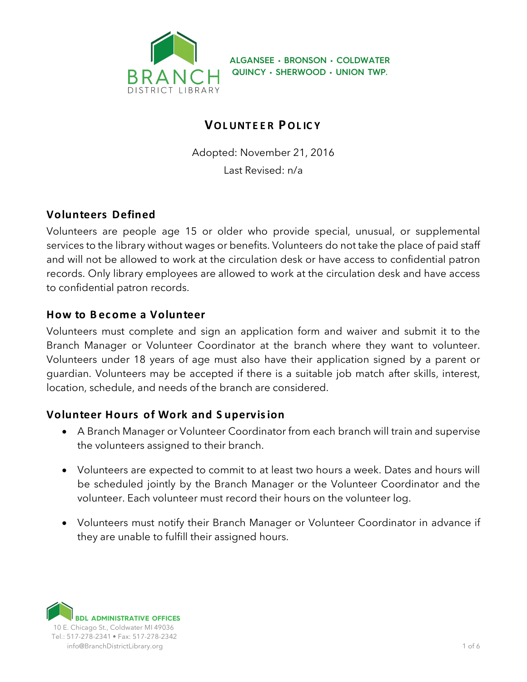

**ALGANSEE • BRONSON • COLDWATER QUINCY • SHERWOOD • UNION TWP.**

# **VOL UNTE E R POL IC Y**

Adopted: November 21, 2016 Last Revised: n/a

## **Volunteers Defined**

Volunteers are people age 15 or older who provide special, unusual, or supplemental services to the library without wages or benefits. Volunteers do not take the place of paid staff and will not be allowed to work at the circulation desk or have access to confidential patron records. Only library employees are allowed to work at the circulation desk and have access to confidential patron records.

### **How to Become a Volunteer**

Volunteers must complete and sign an application form and waiver and submit it to the Branch Manager or Volunteer Coordinator at the branch where they want to volunteer. Volunteers under 18 years of age must also have their application signed by a parent or guardian. Volunteers may be accepted if there is a suitable job match after skills, interest, location, schedule, and needs of the branch are considered.

### **Volunteer Hours of Work and S upervis ion**

- A Branch Manager or Volunteer Coordinator from each branch will train and supervise the volunteers assigned to their branch.
- Volunteers are expected to commit to at least two hours a week. Dates and hours will be scheduled jointly by the Branch Manager or the Volunteer Coordinator and the volunteer. Each volunteer must record their hours on the volunteer log.
- Volunteers must notify their Branch Manager or Volunteer Coordinator in advance if they are unable to fulfill their assigned hours.

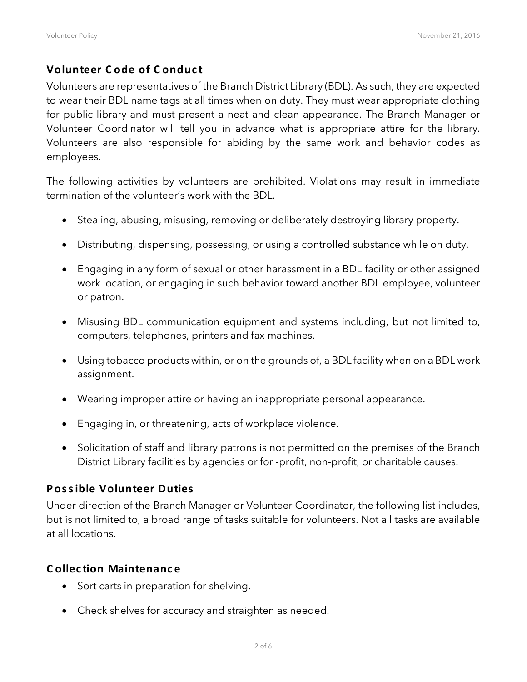### **Volunteer C ode of C onduct**

Volunteers are representatives of the Branch District Library (BDL). As such, they are expected to wear their BDL name tags at all times when on duty. They must wear appropriate clothing for public library and must present a neat and clean appearance. The Branch Manager or Volunteer Coordinator will tell you in advance what is appropriate attire for the library. Volunteers are also responsible for abiding by the same work and behavior codes as employees.

The following activities by volunteers are prohibited. Violations may result in immediate termination of the volunteer's work with the BDL.

- Stealing, abusing, misusing, removing or deliberately destroying library property.
- Distributing, dispensing, possessing, or using a controlled substance while on duty.
- Engaging in any form of sexual or other harassment in a BDL facility or other assigned work location, or engaging in such behavior toward another BDL employee, volunteer or patron.
- Misusing BDL communication equipment and systems including, but not limited to, computers, telephones, printers and fax machines.
- Using tobacco products within, or on the grounds of, a BDL facility when on a BDL work assignment.
- Wearing improper attire or having an inappropriate personal appearance.
- Engaging in, or threatening, acts of workplace violence.
- Solicitation of staff and library patrons is not permitted on the premises of the Branch District Library facilities by agencies or for -profit, non-profit, or charitable causes.

#### **Pos s ible Volunteer Duties**

Under direction of the Branch Manager or Volunteer Coordinator, the following list includes, but is not limited to, a broad range of tasks suitable for volunteers. Not all tasks are available at all locations.

#### **C ollec tion Maintenanc e**

- Sort carts in preparation for shelving.
- Check shelves for accuracy and straighten as needed.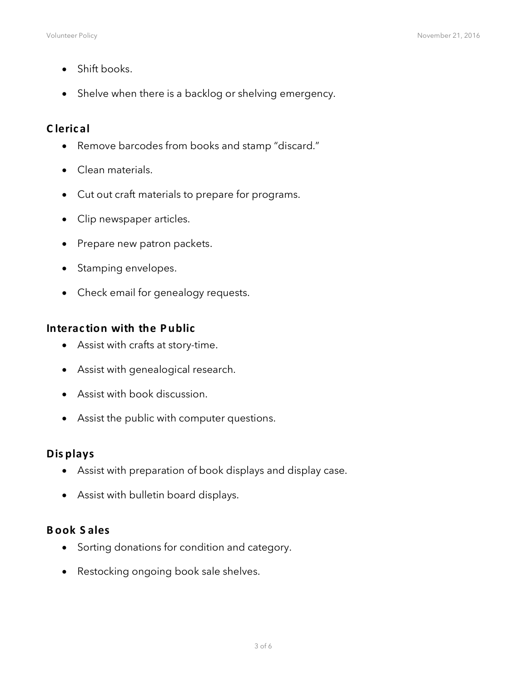- Shift books.
- Shelve when there is a backlog or shelving emergency.

### **C lerical**

- Remove barcodes from books and stamp "discard."
- Clean materials.
- Cut out craft materials to prepare for programs.
- Clip newspaper articles.
- Prepare new patron packets.
- Stamping envelopes.
- Check email for genealogy requests.

#### **Interac tion with the Public**

- Assist with crafts at story-time.
- Assist with genealogical research.
- Assist with book discussion.
- Assist the public with computer questions.

#### **Dis plays**

- Assist with preparation of book displays and display case.
- Assist with bulletin board displays.

#### **Book S ales**

- Sorting donations for condition and category.
- Restocking ongoing book sale shelves.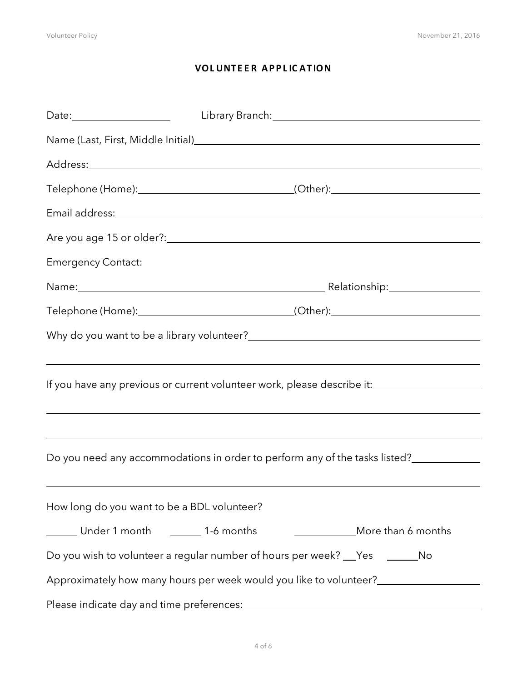### **VOLUNTEER APPLICATION**

| Name (Last, First, Middle Initial)<br>Same (Last, First, Middle Initial) |                                                                                                                                                                                                                               |  |  |  |  |  |  |
|--------------------------------------------------------------------------|-------------------------------------------------------------------------------------------------------------------------------------------------------------------------------------------------------------------------------|--|--|--|--|--|--|
|                                                                          |                                                                                                                                                                                                                               |  |  |  |  |  |  |
|                                                                          | Telephone (Home):_________________________________(Other):______________________                                                                                                                                              |  |  |  |  |  |  |
|                                                                          | Email address: and a series are all the series of the series of the series of the series of the series of the series of the series of the series of the series of the series of the series of the series of the series of the |  |  |  |  |  |  |
|                                                                          | Are you age 15 or older?: example and a series of the series of the series of the series of the series of the                                                                                                                 |  |  |  |  |  |  |
| <b>Emergency Contact:</b>                                                |                                                                                                                                                                                                                               |  |  |  |  |  |  |
|                                                                          | Name: Name: Name: Name: Name: Name: Name: Name: Name: Name: Name: Name: Name: Name: Name: Name: Name: Name: Name: Name: Name: Name: Name: Name: Name: Name: Name: Name: Name: Name: Name: Name: Name: Name: Name: Name: Name: |  |  |  |  |  |  |
|                                                                          | Telephone (Home):_________________________________(Other):______________________                                                                                                                                              |  |  |  |  |  |  |
|                                                                          |                                                                                                                                                                                                                               |  |  |  |  |  |  |
|                                                                          | ,我们也不会有什么。""我们的人,我们也不会有什么?""我们的人,我们也不会有什么?""我们的人,我们也不会有什么?""我们的人,我们也不会有什么?""我们的人                                                                                                                                              |  |  |  |  |  |  |
|                                                                          | If you have any previous or current volunteer work, please describe it:____________________________                                                                                                                           |  |  |  |  |  |  |
|                                                                          | ,我们也不会有什么。""我们的人,我们也不会有什么?""我们的人,我们也不会有什么?""我们的人,我们也不会有什么?""我们的人,我们也不会有什么?""我们的人                                                                                                                                              |  |  |  |  |  |  |
|                                                                          | ,我们也不会有什么。""我们的人,我们也不会有什么?""我们的人,我们也不会有什么?""我们的人,我们也不会有什么?""我们的人,我们也不会有什么?""我们的人                                                                                                                                              |  |  |  |  |  |  |
|                                                                          |                                                                                                                                                                                                                               |  |  |  |  |  |  |
|                                                                          |                                                                                                                                                                                                                               |  |  |  |  |  |  |
| How long do you want to be a BDL volunteer?                              |                                                                                                                                                                                                                               |  |  |  |  |  |  |
| Under 1 month _______ 1-6 months                                         | More than 6 months                                                                                                                                                                                                            |  |  |  |  |  |  |
|                                                                          | Do you wish to volunteer a regular number of hours per week? __Yes ________No                                                                                                                                                 |  |  |  |  |  |  |
|                                                                          |                                                                                                                                                                                                                               |  |  |  |  |  |  |
|                                                                          |                                                                                                                                                                                                                               |  |  |  |  |  |  |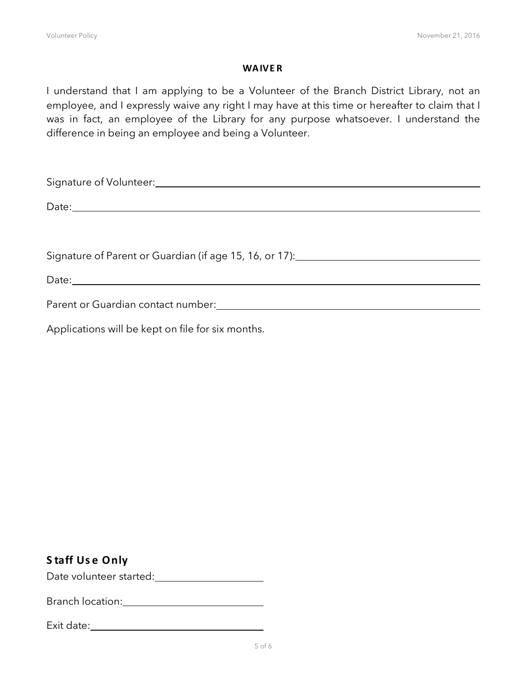#### **WAIVE R**

I understand that I am applying to be a Volunteer of the Branch District Library, not an employee, and I expressly waive any right I may have at this time or hereafter to claim that I was in fact, an employee of the Library for any purpose whatsoever. I understand the difference in being an employee and being a Volunteer.

| Signature of Volunteer: Manual Assembly Signature of Volunteer:                                                                                                                                                                      |  |  |  |  |
|--------------------------------------------------------------------------------------------------------------------------------------------------------------------------------------------------------------------------------------|--|--|--|--|
|                                                                                                                                                                                                                                      |  |  |  |  |
| Date: <u>and the second contract of the second contract of the second contract of the second contract of the second contract of the second contract of the second contract of the second contract of the second contract of the </u> |  |  |  |  |
|                                                                                                                                                                                                                                      |  |  |  |  |
|                                                                                                                                                                                                                                      |  |  |  |  |
| Signature of Parent or Guardian (if age 15, 16, or 17): [Canada and Divideo Paramana and Divideo Paramana and                                                                                                                        |  |  |  |  |
|                                                                                                                                                                                                                                      |  |  |  |  |
|                                                                                                                                                                                                                                      |  |  |  |  |
| Parent or Guardian contact number: The contract of the contract of the contract of the contract of the contract of the contract of the contract of the contract of the contract of the contract of the contract of the contrac       |  |  |  |  |
| Applications will be kept on file for six months.                                                                                                                                                                                    |  |  |  |  |

### **S taff Use Only**

Date volunteer started:<br>
<u>Date</u> volunteer started:

Branch location:

| Exit date: |  |  |
|------------|--|--|
|            |  |  |